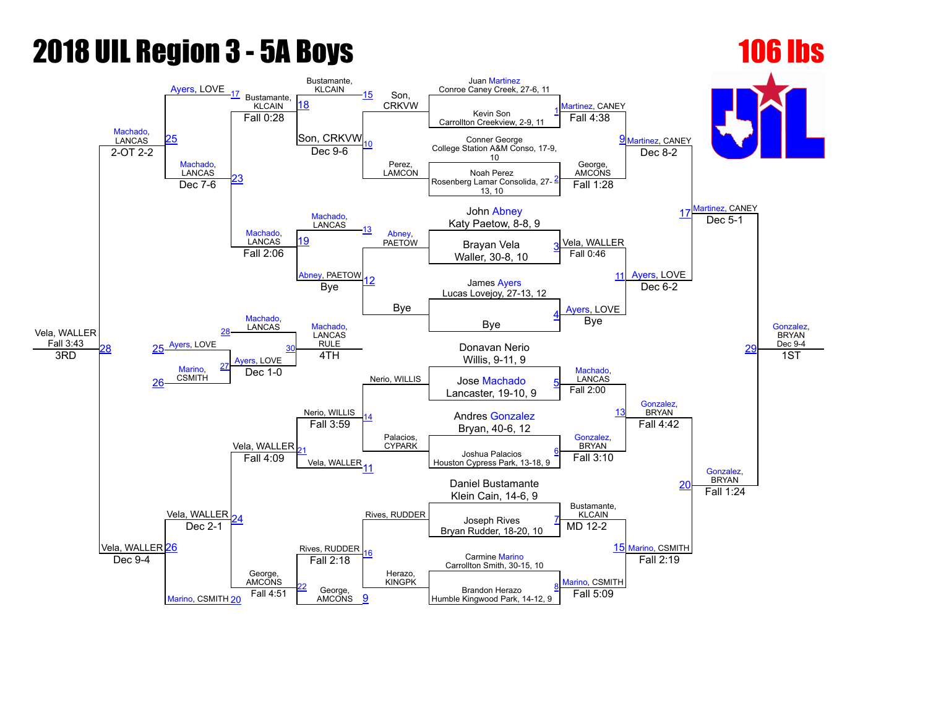### **2018 UIL Region 3 - 5A Boys 106 lbs**

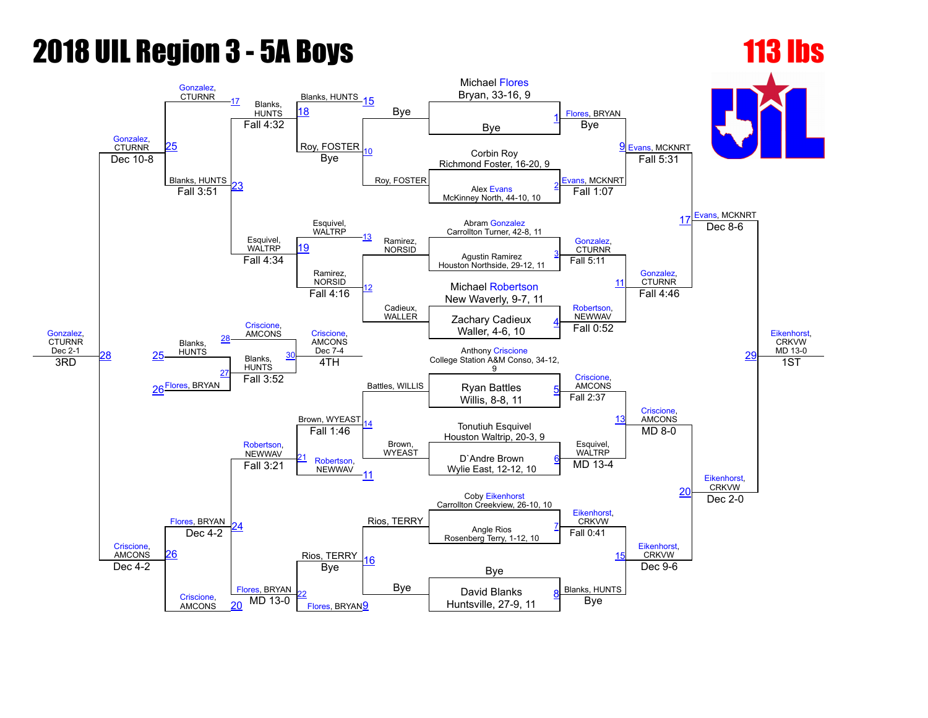# **2018 UIL Region 3 - 5A Boys 113 lbs**

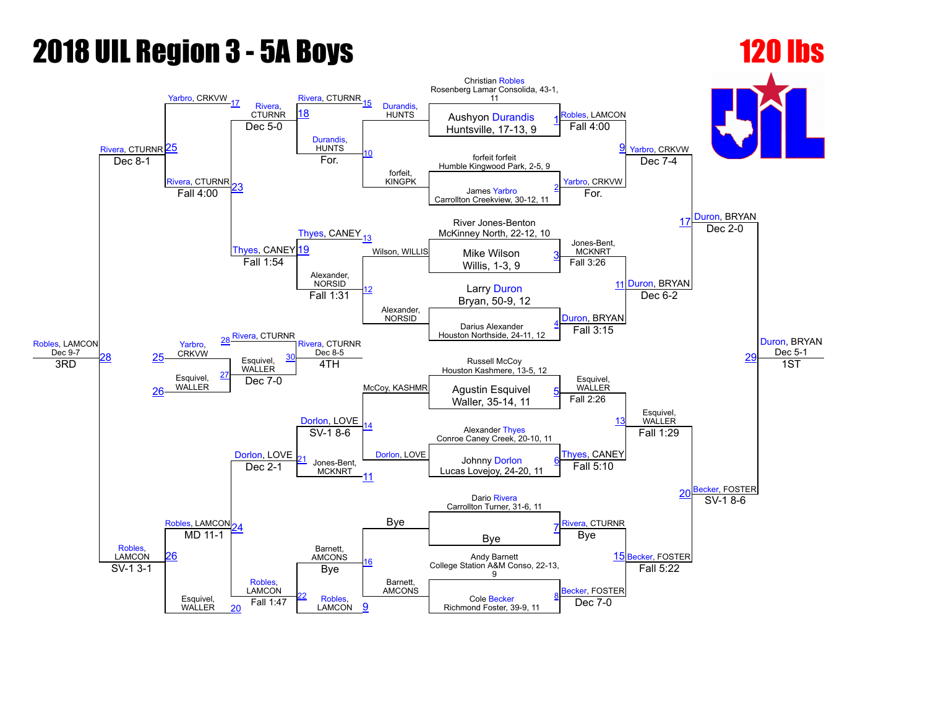### 2018 UIL Region 3 5A Boys 120 lbs

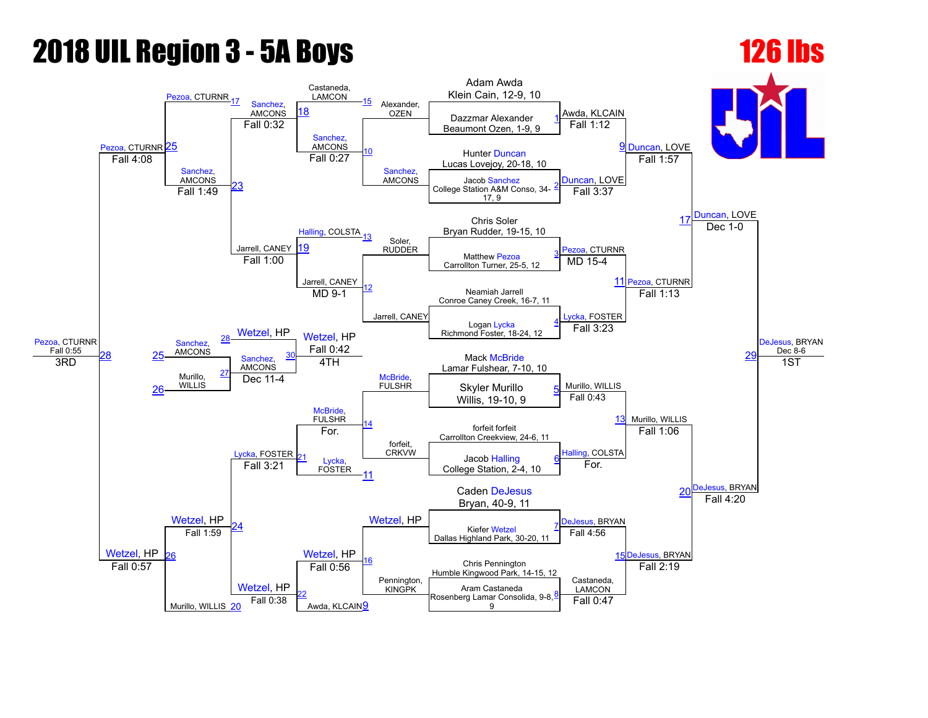# **2018 UIL Region 3 - 5A Boys 126 lbs**

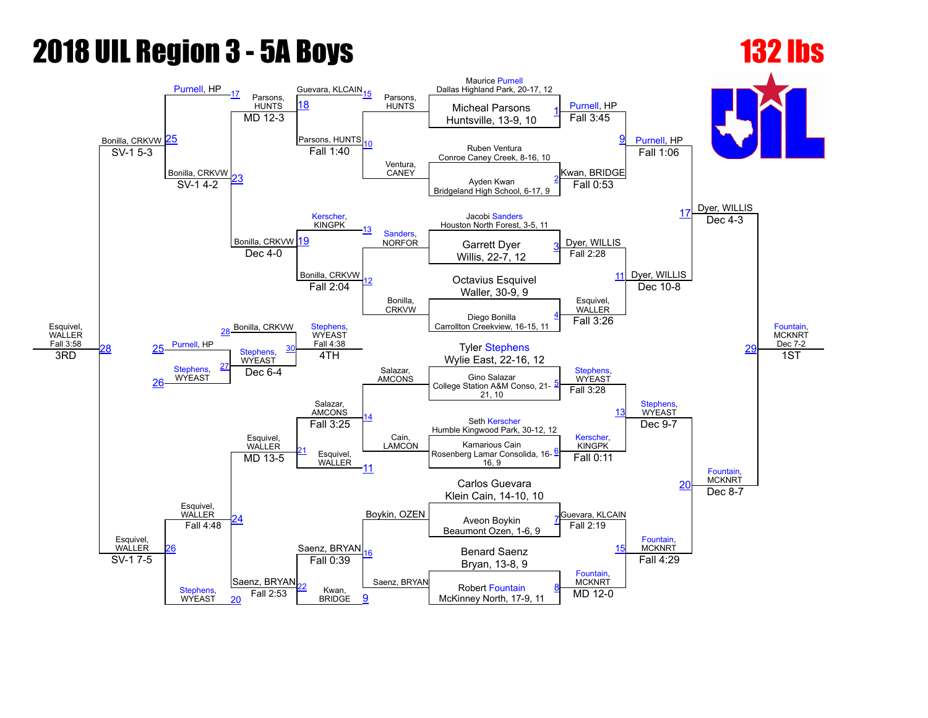# **2018 UIL Region 3 - 5A Boys 132 lbs**

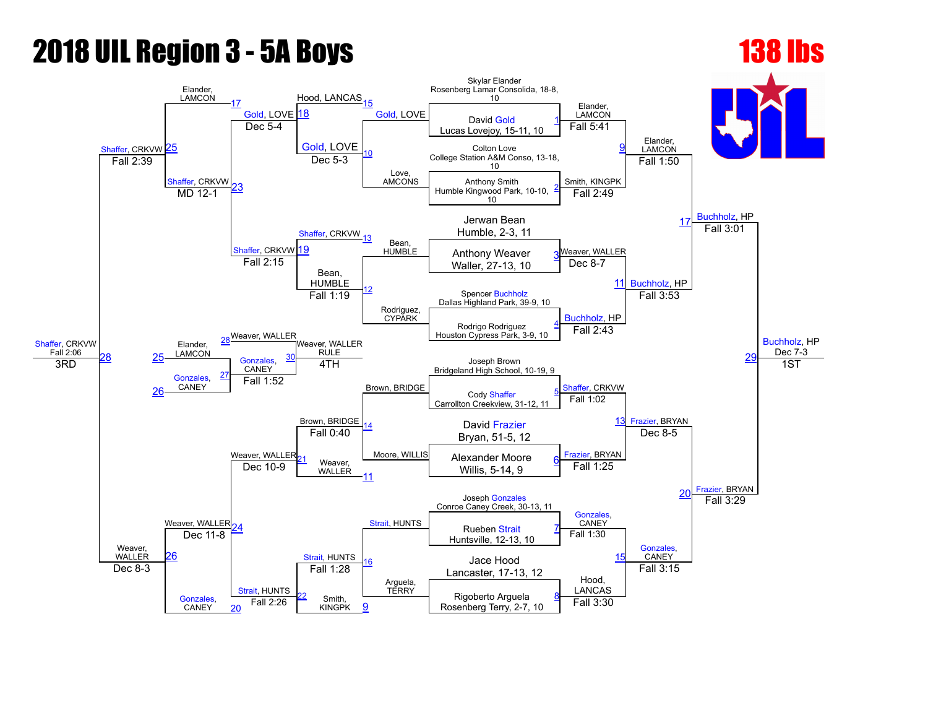### **2018 UIL Region 3 - 5A Boys 138 lbs**

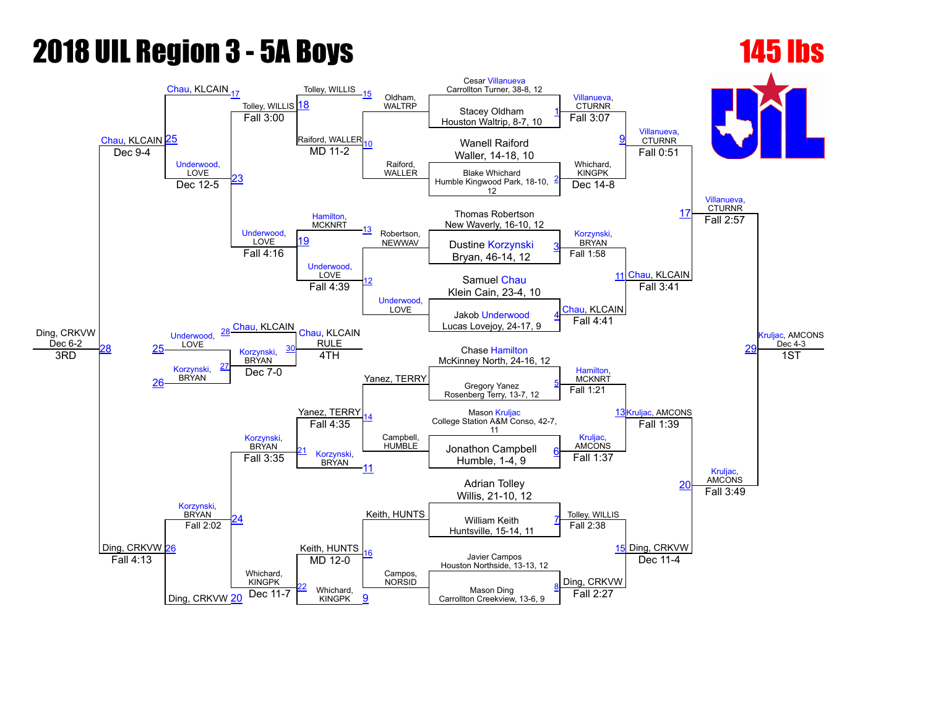### **2018 UIL Region 3 - 5A Boys 145 lbs**

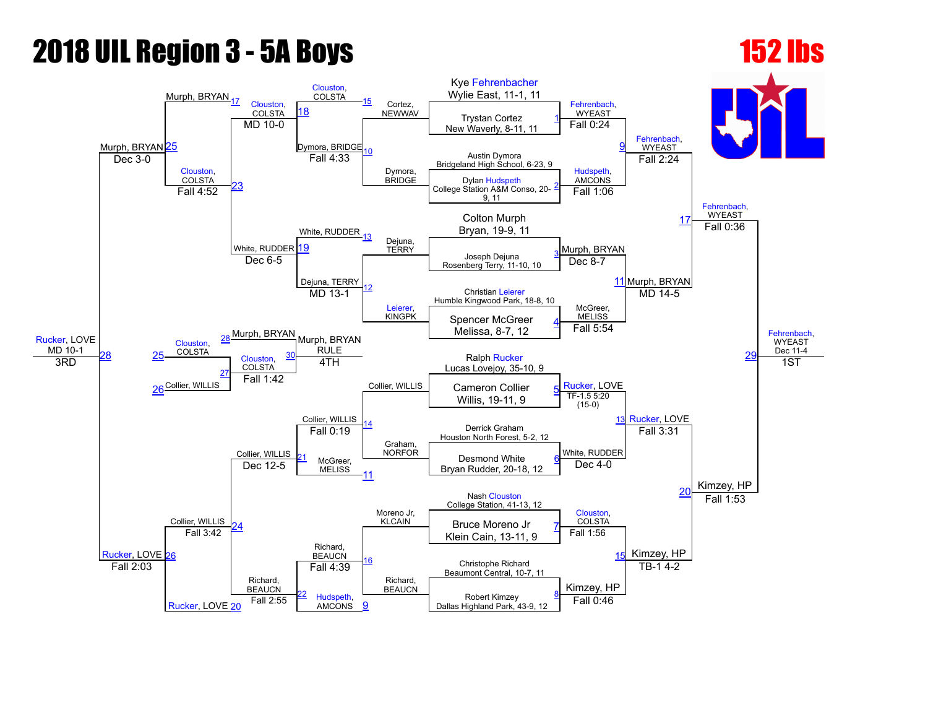# **2018 UIL Region 3 - 5A Boys 152 lbs**

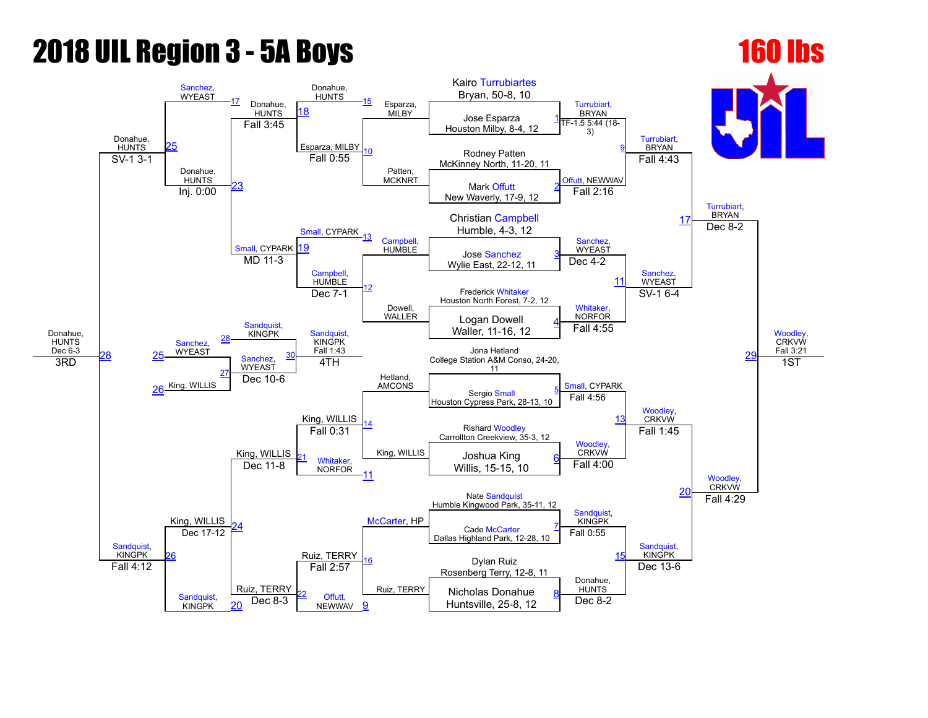# **2018 UIL Region 3 - 5A Boys 160 lbs**

### Donahue, HUNTS Dec 6-3 Donahue, **HUNTS** [Sanchez](javascript:viewProfile(36206076)),<br>WYEAST [17](javascript:openBoutSheet(17,) Donahue, **HUNTS** Donahue, **HUNTS** [15](javascript:openBoutSheet(15,) Esparza, **MILBY** Kairo [Turrubiartes](javascript:viewProfile(177223132)) Bryan, 50-8, 10 [Turrubiart](javascript:viewProfile(177223132)), BRYAN [Turrubiart,](javascript:viewProfile(177223132)) **BRYAN** [Turrubiart](javascript:viewProfile(177223132)), BRYAN **Woodley CRKVW** Fall 3:21 [25](javascript:openBoutSheet(25,) [18](javascript:openBoutSheet(18,) Jose Esparza Houston Milby, 8-4, 12 [1](javascript:openBoutSheet(1,) Fall 3:45 Esparza, MILBY [10](javascript:openBoutSheet(10,) Patten, **MCKNRT** TF-1.5 5:44 (18-3) Rodney Patten  $S$ V-1 3-1  $\overline{S}$  North, 11-20, 11  $\overline{S}$ Donahue, **HUNTS** [23](javascript:openBoutSheet(23,) Fall 0:55 [Offutt,](javascript:viewProfile(281585132)) NEWWAV Fall 4:43 Mark [Offutt](javascript:viewProfile(281585132)) New Waverly, 17-9, 12 [2](javascript:openBoutSheet(2,) Inj. 0:00 [Small,](javascript:viewProfile(2092478009)) CYPARK Fall 2:16 Christian [Campbell](javascript:viewProfile(62092009)) [17](javascript:openBoutSheet(17,) Humble, 4-3, 12 nall, CYPARK 19 [13](javascript:openBoutSheet(13,) [Campbell](javascript:viewProfile(62092009)), **HUMBLE** [Sanchez](javascript:viewProfile(36206076)), **WYEAST** Dec  $8-2$ nall, CYPARK [19](javascript:openBoutSheet(19,)<br>MD 11-[3](javascript:openBoutSheet(3,) **MD 11-3** MUMBLE Jose [Sanchez](javascript:viewProfile(36206076)) 3<br>Modio Fast 22-12 11 Wylie East, 22-12, 11 **[Campbell](javascript:viewProfile(62092009)) HUMBLE** [12](javascript:openBoutSheet(12,) Dowell, WALLER Dec  $4-2$  $1<sup>1</sup>$ [Sanchez](javascript:viewProfile(36206076)), **WYEAST** Frederick [Whitaker](javascript:viewProfile(283129132)) Houston North Forest, 7-2, 12 [Sandquist,](javascript:viewProfile(549196096)) KINGPK Dec 7-1 [Whitaker,](javascript:viewProfile(283129132)) NORFOR SV-1 6-4 [29](javascript:openBoutSheet(29,) Logan Dowell Waller, 11-16, 12 [4](javascript:openBoutSheet(4,) [Sanchez](javascript:viewProfile(36206076)),<br>WYEAST [28](javascript:openBoutSheet(28,) [Sandquist,](javascript:viewProfile(549196096)) KINGPK Fall 1:43 Hetland, AMCONS Fall 4:55  $\frac{28}{25}$  $\frac{28}{25}$  $\frac{28}{25}$  $\frac{28}{25}$  $\frac{28}{25}$  [Sanchez](javascript:viewProfile(36206076)), [30](javascript:openBoutSheet(30,) Jona Hetland College Station A&M Conso, 24-20, 11 3RD [26](javascript:openBoutSheet(26,) King, WILLIS [27](javascript:openBoutSheet(27,) 4TH [Small](javascript:viewProfile(2092478009)), CYPARK [Woodley](javascript:viewProfile(1086741096)), **CRKVW** 1ST Dec 10-6 Sergio [Small](javascript:viewProfile(2092478009)) Houston Cypress Park, 28-13, 10 [5](javascript:openBoutSheet(5,) King, WILLIS King, WILLIS King, WILLIS Fall 4:56 [13](javascript:openBoutSheet(13,) [Sandquist](javascript:viewProfile(549196096)), KINGPK King, WILLIS Rishard [Woodley](javascript:viewProfile(1086741096)) Carrollton Creekview, 35-3, 12 Fall 0:31 [Woodley,](javascript:viewProfile(1086741096)) **CRKVW** Fall 1:45 [Woodley](javascript:viewProfile(1086741096)), CRKVW [Whitaker,](javascript:viewProfile(283129132)) NORFOR Joshua King ni<u>y, willis 21</u> Whitaker, Carlis, Willis, 15-15, 10 [6](javascript:openBoutSheet(6,)<br>Dec 11-8 NORFOR 44 Willis, 15-15, 10 [11](javascript:openBoutSheet(11,) Fall 4:00  $\overline{20}$  $\overline{20}$  $\overline{20}$ Ruiz, TERRY Nate [Sandquist](javascript:viewProfile(549196096)) Humble Kingwood Park, 35-11, 12 [24](javascript:openBoutSheet(24,) [McCarter](javascript:viewProfile(16596107)), HP [Sandquist](javascript:viewProfile(549196096)), KINGPK Fall 4:29 Cade [McCarter](javascript:viewProfile(16596107)) Dallas Highland Park, 12-28, 10 [7](javascript:openBoutSheet(7,) [26](javascript:openBoutSheet(26,) Dec 17-12 [16](javascript:openBoutSheet(16,) Ruiz, TERRY Fall 0:55 [15](javascript:openBoutSheet(15,) [Sandquist,](javascript:viewProfile(549196096)) KINGPK Dylan Ruiz Rosenberg Terry, 12-8, 11 Fall 4:12 [Sandquist](javascript:viewProfile(549196096)), KINGPK Ruiz, TERRY Fall 2:57 Donahue, HUNTS Dec 13-6 [Offutt,](javascript:viewProfile(281585132)) **NEWWAV** Nicholas Donahue  $\frac{20}{20}$  $\frac{20}{20}$  $\frac{20}{20}$  Dec 8-3 Newway [9](javascript:openBoutSheet(9,) Huntsville, 25-8, 12 Dec 8-2 <u>[8](javascript:openBoutSheet(8,)</u>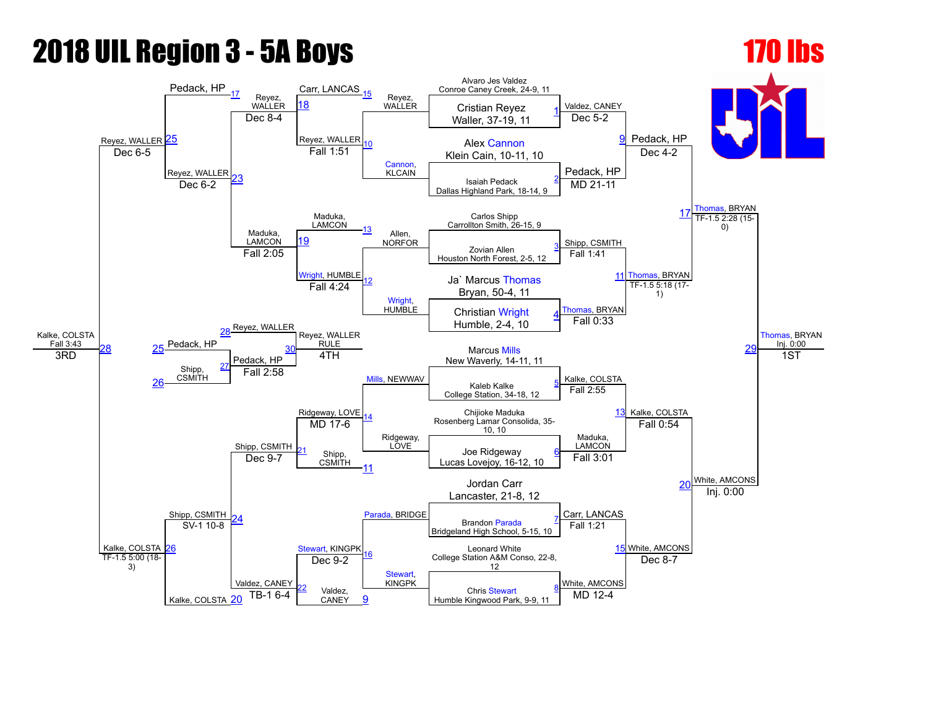# 2018 UIL Region 3 5A Boys 170 lbs

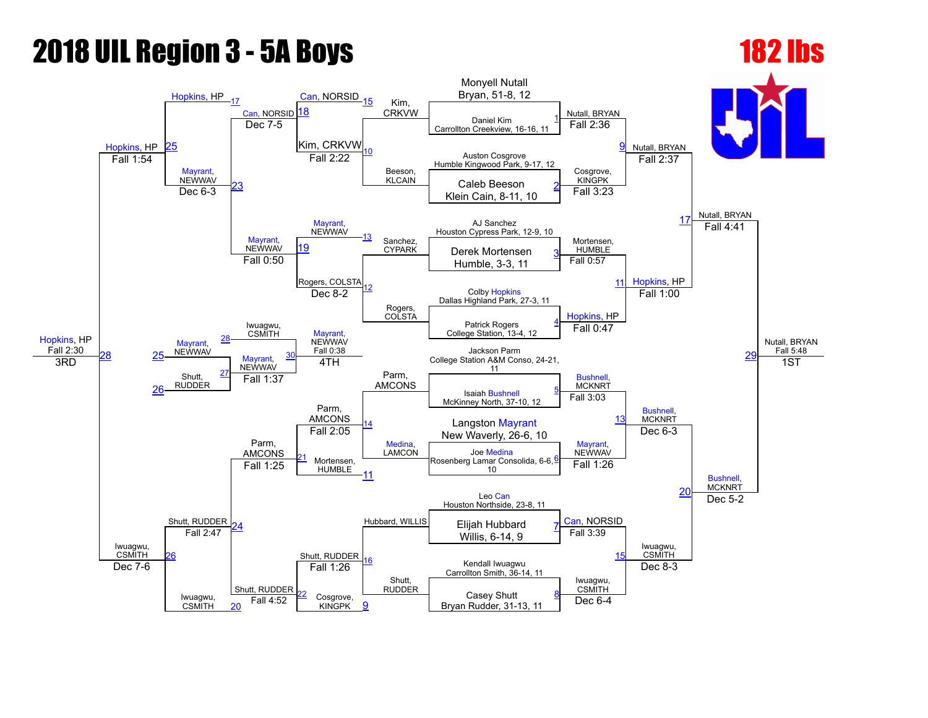### **2018 UIL Region 3 - 5A Boys 182 lbs**

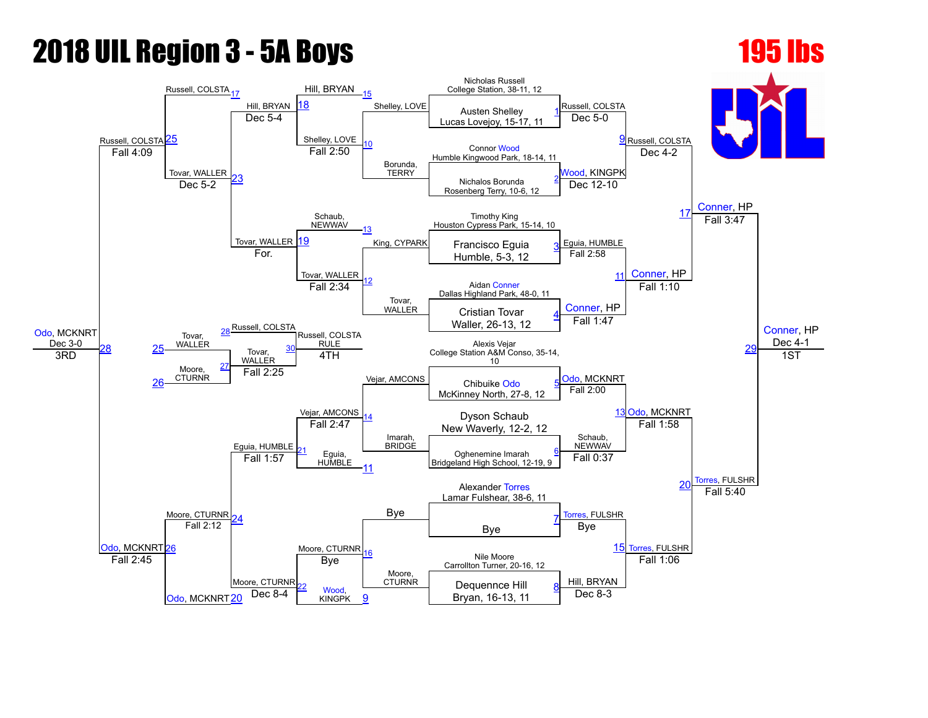# **2018 UIL Region 3 - 5A Boys 195 lbs**

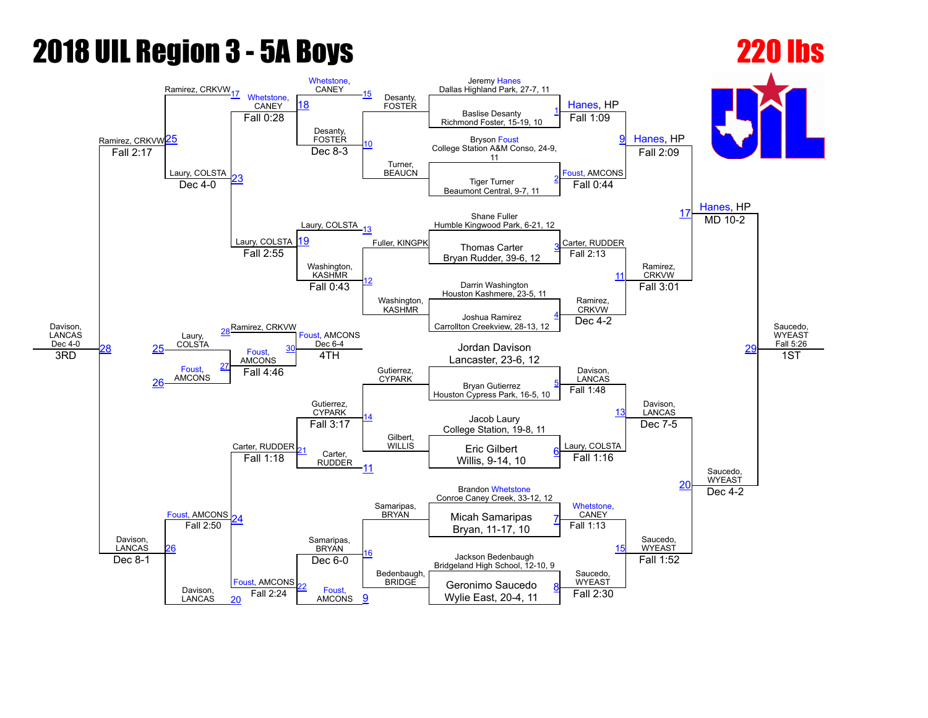### 2018 UIL Region 3 5A Boys 220 lbs